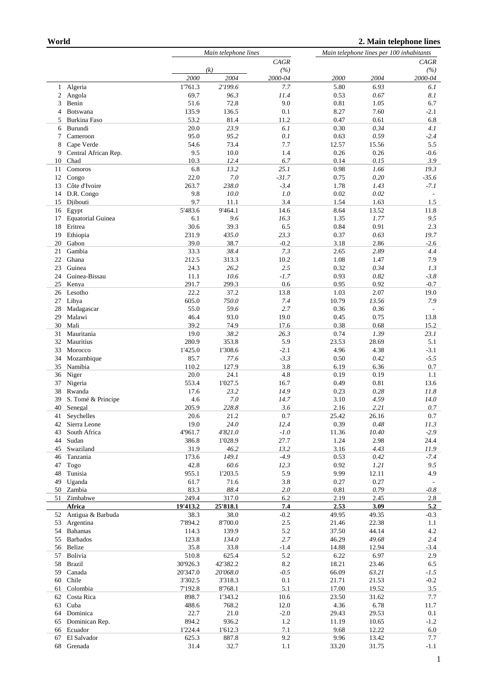|              |                          | Main telephone lines |          |         | Main telephone lines per 100 inhabitants |          |                          |  |
|--------------|--------------------------|----------------------|----------|---------|------------------------------------------|----------|--------------------------|--|
|              |                          | CAGR                 |          | CAGR    |                                          |          |                          |  |
|              |                          |                      | (k)      | (%)     |                                          |          | (%)                      |  |
|              |                          | 2000                 | 2004     | 2000-04 | 2000                                     | 2004     | 2000-04                  |  |
| $\mathbf{1}$ | Algeria                  | 1'761.3              | 2'199.6  | 7.7     | 5.80                                     | 6.93     | 6.1                      |  |
| 2            | Angola                   | 69.7                 | 96.3     | 11.4    | 0.53                                     | 0.67     | 8.1                      |  |
| 3            | Benin                    | 51.6                 | 72.8     | 9.0     | 0.81                                     | 1.05     | 6.7                      |  |
|              |                          |                      |          |         |                                          |          |                          |  |
| 4            | Botswana                 | 135.9                | 136.5    | 0.1     | 8.27                                     | 7.60     | $-2.1$                   |  |
| 5            | Burkina Faso             | 53.2                 | 81.4     | 11.2    | 0.47                                     | 0.61     | 6.8                      |  |
| 6            | Burundi                  | 20.0                 | 23.9     | 6.1     | 0.30                                     | 0.34     | 4.1                      |  |
| 7            | Cameroon                 | 95.0                 | 95.2     | 0.1     | 0.63                                     | 0.59     | $-2.4$                   |  |
| 8            | Cape Verde               | 54.6                 | 73.4     | 7.7     | 12.57                                    | 15.56    | 5.5                      |  |
| 9            | Central African Rep.     | 9.5                  | 10.0     | 1.4     | 0.26                                     | 0.26     | $-0.6$                   |  |
| 10           | Chad                     | 10.3                 | 12.4     | 6.7     | 0.14                                     | 0.15     | 3.9                      |  |
| 11           | Comoros                  | 6.8                  | 13.2     | 25.1    | 0.98                                     | 1.66     | 19.3                     |  |
| 12           | Congo                    | 22.0                 | $7.0\,$  | $-31.7$ | 0.75                                     | 0.20     | $-35.6$                  |  |
| 13           | Côte d'Ivoire            | 263.7                | 238.0    | $-3.4$  | 1.78                                     | 1.43     | $-7.1$                   |  |
| 14           | D.R. Congo               | 9.8                  | 10.0     | 1.0     | 0.02                                     | 0.02     | $\overline{\phantom{a}}$ |  |
| 15           | Djibouti                 | 9.7                  | 11.1     | 3.4     | 1.54                                     | 1.63     | 1.5                      |  |
|              |                          |                      |          |         |                                          |          |                          |  |
| 16           | Egypt                    | 5'483.6              | 9'464.1  | 14.6    | 8.64                                     | 13.52    | 11.8                     |  |
| 17           | <b>Equatorial Guinea</b> | 6.1                  | 9.6      | 16.3    | 1.35                                     | 1.77     | 9.5                      |  |
| 18           | Eritrea                  | 30.6                 | 39.3     | 6.5     | 0.84                                     | 0.91     | 2.3                      |  |
| 19           | Ethiopia                 | 231.9                | 435.0    | 23.3    | 0.37                                     | 0.63     | 19.7                     |  |
| 20           | Gabon                    | 39.0                 | 38.7     | $-0.2$  | 3.18                                     | 2.86     | $-2.6$                   |  |
| 21           | Gambia                   | 33.3                 | 38.4     | 7.3     | 2.65                                     | 2.89     | 4.4                      |  |
| 22           | Ghana                    | 212.5                | 313.3    | 10.2    | 1.08                                     | 1.47     | 7.9                      |  |
| 23           | Guinea                   | 24.3                 | 26.2     | 2.5     | 0.32                                     | 0.34     | 1.3                      |  |
| 24           | Guinea-Bissau            | 11.1                 | 10.6     | $-1.7$  | 0.93                                     | 0.82     | $-3.8$                   |  |
| 25           | Kenya                    | 291.7                | 299.3    | 0.6     | 0.95                                     | 0.92     | $-0.7$                   |  |
| 26           | Lesotho                  | 22.2                 | 37.2     | 13.8    | 1.03                                     | 2.07     | 19.0                     |  |
|              |                          | 605.0                | 750.0    |         |                                          |          | 7.9                      |  |
| 27           | Libya                    |                      |          | 7.4     | 10.79                                    | 13.56    |                          |  |
| 28           | Madagascar               | 55.0                 | 59.6     | 2.7     | 0.36                                     | 0.36     |                          |  |
| 29           | Malawi                   | 46.4                 | 93.0     | 19.0    | 0.45                                     | 0.75     | 13.8                     |  |
| 30           | Mali                     | 39.2                 | 74.9     | 17.6    | 0.38                                     | 0.68     | 15.2                     |  |
| 31           | Mauritania               | 19.0                 | 38.2     | 26.3    | 0.74                                     | 1.39     | 23.1                     |  |
| 32           | Mauritius                | 280.9                | 353.8    | 5.9     | 23.53                                    | 28.69    | 5.1                      |  |
| 33           | Morocco                  | 1'425.0              | 1'308.6  | $-2.1$  | 4.96                                     | 4.38     | $-3.1$                   |  |
| 34           | Mozambique               | 85.7                 | 77.6     | $-3.3$  | 0.50                                     | 0.42     | $-5.5$                   |  |
| 35           | Namibia                  | 110.2                | 127.9    | 3.8     | 6.19                                     | 6.36     | 0.7                      |  |
| 36           | Niger                    | 20.0                 | 24.1     | 4.8     | 0.19                                     | 0.19     | 1.1                      |  |
| 37           | Nigeria                  | 553.4                | 1'027.5  | 16.7    | 0.49                                     | 0.81     | 13.6                     |  |
|              |                          |                      |          |         |                                          |          |                          |  |
| 38           | Rwanda                   | 17.6                 | 23.2     | 14.9    | 0.23                                     | 0.28     | 11.8                     |  |
| 39           | S. Tomé & Principe       | 4.6                  | 7.0      | 14.7    | 3.10                                     | 4.59     | 14.0                     |  |
| 40           | Senegal                  | 205.9                | 228.8    | 3.6     | 2.16                                     | 2.21     | 0.7                      |  |
| 41           | Seychelles               | 20.6                 | 21.2     | 0.7     | 25.42                                    | 26.16    | 0.7                      |  |
| 42           | Sierra Leone             | 19.0                 | 24.0     | 12.4    | 0.39                                     | $0.48\,$ | 11.3                     |  |
| 43           | South Africa             | 4'961.7              | 4'821.0  | $-1.0$  | 11.36                                    | 10.40    | $-2.9$                   |  |
| 44           | Sudan                    | 386.8                | 1'028.9  | 27.7    | 1.24                                     | 2.98     | 24.4                     |  |
| 45           | Swaziland                | 31.9                 | 46.2     | 13.2    | 3.16                                     | 4.43     | 11.9                     |  |
| 46           | Tanzania                 | 173.6                | 149.1    | $-4.9$  | 0.53                                     | 0.42     | $-7.4$                   |  |
| 47           | Togo                     | 42.8                 | 60.6     | 12.3    | 0.92                                     | 1.21     | 9.5                      |  |
| 48           | Tunisia                  | 955.1                | 1'203.5  | 5.9     | 9.99                                     | 12.11    | 4.9                      |  |
|              |                          |                      |          |         |                                          |          |                          |  |
| 49           | Uganda                   | 61.7                 | 71.6     | 3.8     | 0.27                                     | 0.27     |                          |  |
| 50           | Zambia                   | 83.3                 | 88.4     | 2.0     | 0.81                                     | 0.79     | $-0.8$                   |  |
| 51           | Zimbabwe                 | 249.4                | 317.0    | 6.2     | 2.19                                     | 2.45     | 2.8                      |  |
|              | Africa                   | 19'413.2             | 25'818.1 | 7.4     | 2.53                                     | 3.09     | 5.2                      |  |
| 52           | Antigua & Barbuda        | 38.3                 | 38.0     | $-0.2$  | 49.95                                    | 49.35    | $-0.3$                   |  |
| 53           | Argentina                | 7'894.2              | 8'700.0  | $2.5\,$ | 21.46                                    | 22.38    | 1.1                      |  |
| 54           | <b>Bahamas</b>           | 114.3                | 139.9    | 5.2     | 37.50                                    | 44.14    | 4.2                      |  |
| 55           | <b>Barbados</b>          | 123.8                | 134.0    | 2.7     | 46.29                                    | 49.68    | 2.4                      |  |
| 56           | Belize                   | 35.8                 | 33.8     | $-1.4$  | 14.88                                    | 12.94    | $-3.4$                   |  |
| 57           | Bolivia                  | 510.8                | 625.4    | 5.2     | 6.22                                     | 6.97     | 2.9                      |  |
| 58           | <b>Brazil</b>            | 30'926.3             | 42'382.2 | $8.2\,$ | 18.21                                    | 23.46    | 6.5                      |  |
| 59           | Canada                   | 20'347.0             |          | $-0.5$  |                                          |          |                          |  |
|              |                          |                      | 20'068.0 |         | 66.09                                    | 63.21    | $-1.5$                   |  |
| 60           | Chile                    | 3'302.5              | 3'318.3  | 0.1     | 21.71                                    | 21.53    | $-0.2$                   |  |
| 61           | Colombia                 | 7'192.8              | 8'768.1  | 5.1     | 17.00                                    | 19.52    | 3.5                      |  |
| 62           | Costa Rica               | 898.7                | 1'343.2  | 10.6    | 23.50                                    | 31.62    | 7.7                      |  |
| 63           | Cuba                     | 488.6                | 768.2    | 12.0    | 4.36                                     | 6.78     | 11.7                     |  |
| 64           | Dominica                 | 22.7                 | 21.0     | $-2.0$  | 29.43                                    | 29.53    | 0.1                      |  |
| 65           | Dominican Rep.           | 894.2                | 936.2    | 1.2     | 11.19                                    | 10.65    | $-1.2$                   |  |
| 66           | Ecuador                  | 1'224.4              | 1'612.3  | 7.1     | 9.68                                     | 12.22    | 6.0                      |  |
| 67           | El Salvador              | 625.3                | 887.8    | 9.2     | 9.96                                     | 13.42    | 7.7                      |  |
| 68           | Grenada                  | 31.4                 | 32.7     | 1.1     | 33.20                                    | 31.75    | $-1.1$                   |  |
|              |                          |                      |          |         |                                          |          |                          |  |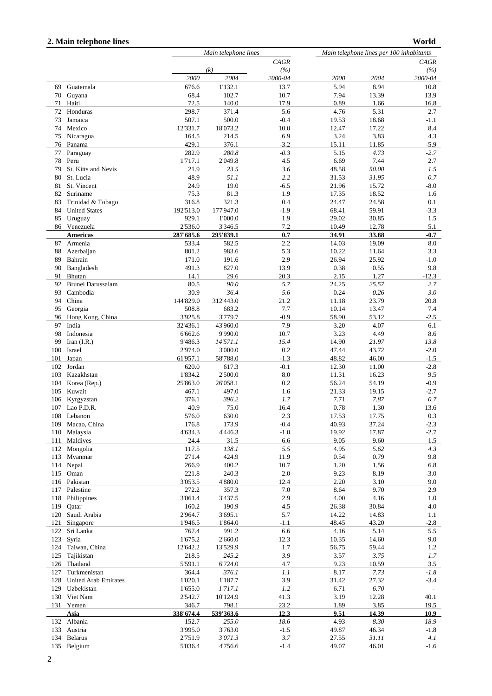## **2. Main telephone lines**

```
 World
```

|          |                             | Main telephone lines |                  |             | Main telephone lines per 100 inhabitants |              |                |  |
|----------|-----------------------------|----------------------|------------------|-------------|------------------------------------------|--------------|----------------|--|
|          |                             |                      |                  | CAGR        |                                          |              | <b>CAGR</b>    |  |
|          |                             |                      | (k)              | (%)         |                                          |              | (%)            |  |
|          |                             | 2000                 | 2004             | 2000-04     | 2000                                     | 2004         | 2000-04        |  |
| 69       | Guatemala                   | 676.6                | 1'132.1          | 13.7        | 5.94                                     | 8.94         | 10.8           |  |
| 70       | Guyana                      | 68.4                 | 102.7            | 10.7        | 7.94                                     | 13.39        | 13.9           |  |
| 71       | Haiti                       | 72.5                 | 140.0            | 17.9        | 0.89                                     | 1.66         | 16.8           |  |
| 72       | Honduras                    | 298.7                | 371.4            | 5.6         | 4.76                                     | 5.31         | 2.7            |  |
| 73       | Jamaica                     | 507.1                | 500.0            | $-0.4$      | 19.53                                    | 18.68        | $-1.1$         |  |
| 74       | Mexico                      | 12'331.7             | 18'073.2         | 10.0        | 12.47                                    | 17.22        | 8.4            |  |
| 75       | Nicaragua                   | 164.5                | 214.5            | 6.9         | 3.24                                     | 3.83         | 4.3            |  |
| 76       | Panama                      | 429.1                | 376.1            | $-3.2$      | 15.11                                    | 11.85        | $-5.9$         |  |
| 77       | Paraguay                    | 282.9<br>1'717.1     | 280.8            | $-0.3$      | 5.15                                     | 4.73<br>7.44 | $-2.7$         |  |
| 78<br>79 | Peru<br>St. Kitts and Nevis | 21.9                 | 2'049.8<br>23.5  | 4.5<br>3.6  | 6.69<br>48.58                            | 50.00        | 2.7<br>1.5     |  |
| 80       | St. Lucia                   | 48.9                 | 51.1             | 2.2         | 31.53                                    | 31.95        | 0.7            |  |
| 81       | St. Vincent                 | 24.9                 | 19.0             | $-6.5$      | 21.96                                    | 15.72        | $-8.0$         |  |
| 82       | Suriname                    | 75.3                 | 81.3             | 1.9         | 17.35                                    | 18.52        | 1.6            |  |
| 83       | Trinidad & Tobago           | 316.8                | 321.3            | 0.4         | 24.47                                    | 24.58        | 0.1            |  |
| 84       | <b>United States</b>        | 192'513.0            | 177'947.0        | $-1.9$      | 68.41                                    | 59.91        | $-3.3$         |  |
| 85       | Uruguay                     | 929.1                | 1'000.0          | 1.9         | 29.02                                    | 30.85        | 1.5            |  |
|          | 86 Venezuela                | 2'536.0              | 3'346.5          | 7.2         | 10.49                                    | 12.78        | 5.1            |  |
|          | <b>Americas</b>             | 287'685.6            | 295'839.1        | 0.7         | 34.91                                    | 33.88        | $-0.7$         |  |
| 87       | Armenia                     | 533.4                | 582.5            | 2.2         | 14.03                                    | 19.09        | 8.0            |  |
| 88       | Azerbaijan                  | 801.2                | 983.6            | 5.3         | 10.22                                    | 11.64        | 3.3            |  |
| 89       | Bahrain                     | 171.0                | 191.6            | 2.9         | 26.94                                    | 25.92        | $-1.0$         |  |
| 90       | Bangladesh                  | 491.3                | 827.0            | 13.9        | 0.38                                     | 0.55         | 9.8            |  |
| 91       | Bhutan                      | 14.1                 | 29.6             | 20.3        | 2.15                                     | 1.27         | $-12.3$        |  |
| 92       | Brunei Darussalam           | 80.5                 | 90.0             | 5.7         | 24.25                                    | 25.57        | 2.7            |  |
| 93       | Cambodia                    | 30.9                 | 36.4             | 5.6         | 0.24                                     | 0.26         | 3.0            |  |
| 94       | China                       | 144'829.0            | 312'443.0        | 21.2        | 11.18                                    | 23.79        | 20.8           |  |
| 95       | Georgia                     | 508.8                | 683.2            | 7.7         | 10.14                                    | 13.47        | 7.4            |  |
| 96       | Hong Kong, China            | 3'925.8              | 3'779.7          | $-0.9$      | 58.90                                    | 53.12        | $-2.5$         |  |
| 97       | India                       | 32'436.1             | 43'960.0         | 7.9         | 3.20                                     | 4.07         | 6.1            |  |
| 98       | Indonesia                   | 6'662.6              | 9'990.0          | 10.7        | 3.23                                     | 4.49         | 8.6            |  |
| 99       | Iran $(I.R.)$               | 9'486.3              | 14'571.1         | 15.4        | 14.90                                    | 21.97        | 13.8           |  |
| 100      | Israel                      | 2'974.0              | 3'000.0          | 0.2         | 47.44                                    | 43.72        | $-2.0$         |  |
| 101      | Japan                       | 61'957.1             | 58'788.0         | $-1.3$      | 48.82                                    | 46.00        | $-1.5$         |  |
| 102      | Jordan                      | 620.0                | 617.3            | $-0.1$      | 12.30                                    | 11.00        | $-2.8$         |  |
| 103      | Kazakhstan                  | 1'834.2              | 2'500.0          | 8.0         | 11.31                                    | 16.23        | 9.5            |  |
| 104      | Korea (Rep.)                | 25'863.0             | 26'058.1         | 0.2         | 56.24                                    | 54.19        | $-0.9$         |  |
| 105      | Kuwait                      | 467.1                | 497.0            | 1.6         | 21.33                                    | 19.15        | $-2.7$         |  |
| 106      | Kyrgyzstan                  | 376.1                | 396.2            | 1.7         | 7.71                                     | 7.87         | 0.7            |  |
| 107      | Lao P.D.R.                  | 40.9                 | 75.0             | 16.4        | 0.78                                     | 1.30         | 13.6           |  |
| 108      | Lebanon                     | 576.0                | 630.0            | 2.3         | 17.53                                    | 17.75        | 0.3            |  |
| 109      | Macao, China                | 176.8                | 173.9            | $-0.4$      | 40.93                                    | 37.24        | $-2.3$         |  |
| 110      | Malaysia                    | 4'634.3              | 4'446.3          | $-1.0$      | 19.92                                    | 17.87        | $-2.7$         |  |
| 111      | Maldives                    | 24.4                 | 31.5             | 6.6         | 9.05                                     | 9.60         | 1.5            |  |
| 112      | Mongolia                    | 117.5                | 138.1            | 5.5         | 4.95                                     | 5.62         | 4.3            |  |
| 113      | Myanmar                     | 271.4                | 424.9            | 11.9        | 0.54                                     | 0.79         | 9.8            |  |
| 114      | Nepal                       | 266.9                | 400.2            | 10.7        | 1.20                                     | 1.56         | 6.8            |  |
| 115      | Oman                        | 221.8<br>3'053.5     | 240.3<br>4'880.0 | 2.0<br>12.4 | 9.23<br>2.20                             | 8.19<br>3.10 | $-3.0$<br>9.0  |  |
| 117      | 116 Pakistan<br>Palestine   | 272.2                | 357.3            | 7.0         | 8.64                                     | 9.70         | 2.9            |  |
| 118      | Philippines                 | 3'061.4              | 3'437.5          | 2.9         | 4.00                                     | 4.16         | 1.0            |  |
| 119      | Qatar                       | 160.2                | 190.9            | 4.5         | 26.38                                    | 30.84        | 4.0            |  |
| 120      | Saudi Arabia                | 2'964.7              | 3'695.1          | 5.7         | 14.22                                    | 14.83        | 1.1            |  |
| 121      | Singapore                   | 1'946.5              | 1'864.0          | $-1.1$      | 48.45                                    | 43.20        | $-2.8$         |  |
| 122      | Sri Lanka                   | 767.4                | 991.2            | 6.6         | 4.16                                     | 5.14         | 5.5            |  |
| 123      | Syria                       | 1'675.2              | 2'660.0          | 12.3        | 10.35                                    | 14.60        | 9.0            |  |
| 124      | Taiwan, China               | 12'642.2             | 13'529.9         | 1.7         | 56.75                                    | 59.44        | 1.2            |  |
| 125      | Tajikistan                  | 218.5                | 245.2            | 3.9         | 3.57                                     | 3.75         | 1.7            |  |
| 126      | Thailand                    | 5'591.1              | 6'724.0          | 4.7         | 9.23                                     | 10.59        | 3.5            |  |
| 127      | Turkmenistan                | 364.4                | 376.1            | 1.1         | 8.17                                     | 7.73         | $-1.8$         |  |
| 128      | <b>United Arab Emirates</b> | 1'020.1              | 1'187.7          | 3.9         | 31.42                                    | 27.32        | $-3.4$         |  |
| 129      | Uzbekistan                  | 1'655.0              | 1'717.1          | 1.2         | 6.71                                     | 6.70         | $\overline{a}$ |  |
| 130      | Viet Nam                    | 2'542.7              | 10'124.9         | 41.3        | 3.19                                     | 12.28        | 40.1           |  |
| 131      | Yemen                       | 346.7                | 798.1            | 23.2        | 1.89                                     | 3.85         | 19.5           |  |
|          | Asia                        | 338'674.4            | 539'363.6        | 12.3        | 9.51                                     | 14.39        | 10.9           |  |
| 132      | Albania                     | 152.7                | 255.0            | 18.6        | 4.93                                     | 8.30         | 18.9           |  |
| 133      | Austria                     | 3'995.0              | 3'763.0          | $-1.5$      | 49.87                                    | 46.34        | $-1.8$         |  |
| 134      | <b>Belarus</b>              | 2'751.9              | 3'071.3          | 3.7         | 27.55                                    | 31.11        | 4.1            |  |
|          | 135 Belgium                 | 5'036.4              | 4'756.6          | $-1.4$      | 49.07                                    | 46.01        | $-1.6$         |  |